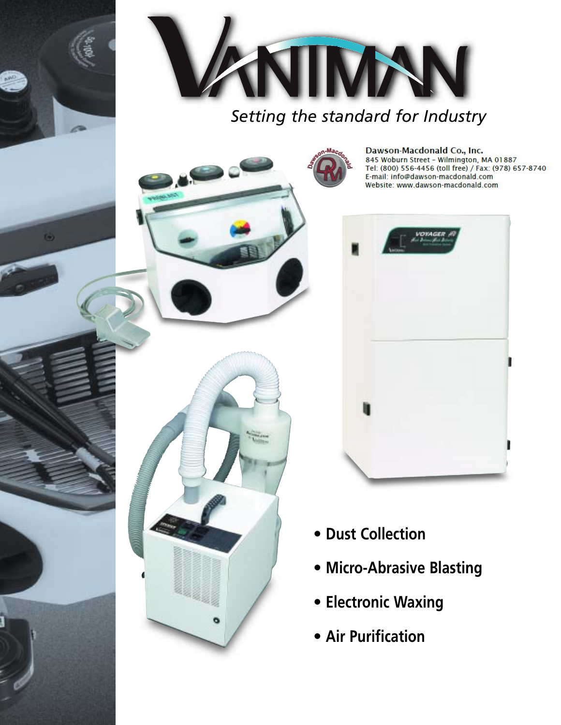

o

*Setting the standard for Industry*

Dawson-Macdonald Co., Inc.<br>845 Woburn Street - Wilmington, MA 01887 Tel: (800) 556-4456 (toll free) / Fax: (978) 657-8740 E-mail: info@dawson-macdonald.com Website: www.dawson-macdonald.com



- **• Dust Collection**
- **• Micro-Abrasive Blasting**
- **• Electronic Waxing**
- **• Air Purification**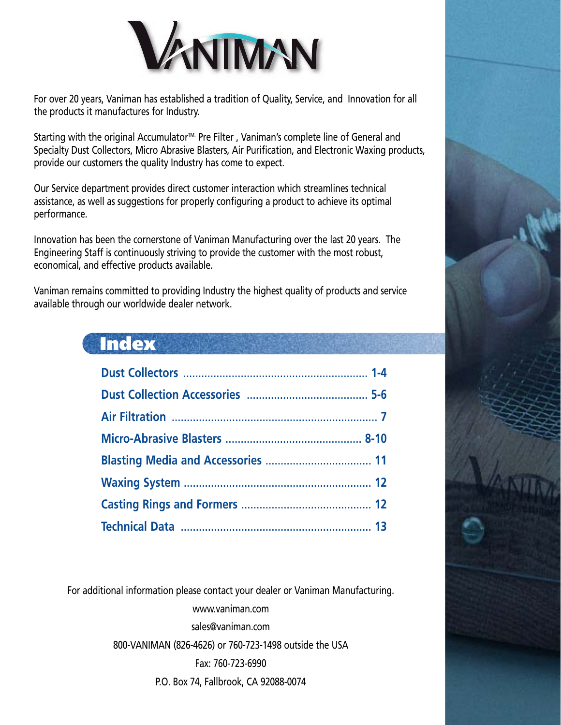

For over 20 years, Vaniman has established a tradition of Quality, Service, and Innovation for all the products it manufactures for Industry.

Starting with the original Accumulator<sup>™.</sup> Pre Filter, Vaniman's complete line of General and Specialty Dust Collectors, Micro Abrasive Blasters, Air Purification, and Electronic Waxing products, provide our customers the quality Industry has come to expect.

Our Service department provides direct customer interaction which streamlines technical assistance, as well as suggestions for properly configuring a product to achieve its optimal performance.

Innovation has been the cornerstone of Vaniman Manufacturing over the last 20 years. The Engineering Staff is continuously striving to provide the customer with the most robust, economical, and effective products available.

Vaniman remains committed to providing Industry the highest quality of products and service available through our worldwide dealer network.

## **Index**

For additional information please contact your dealer or Vaniman Manufacturing.

www.vaniman.com

sales@vaniman.com

800-VANIMAN (826-4626) or 760-723-1498 outside the USA

Fax: 760-723-6990

P.O. Box 74, Fallbrook, CA 92088-0074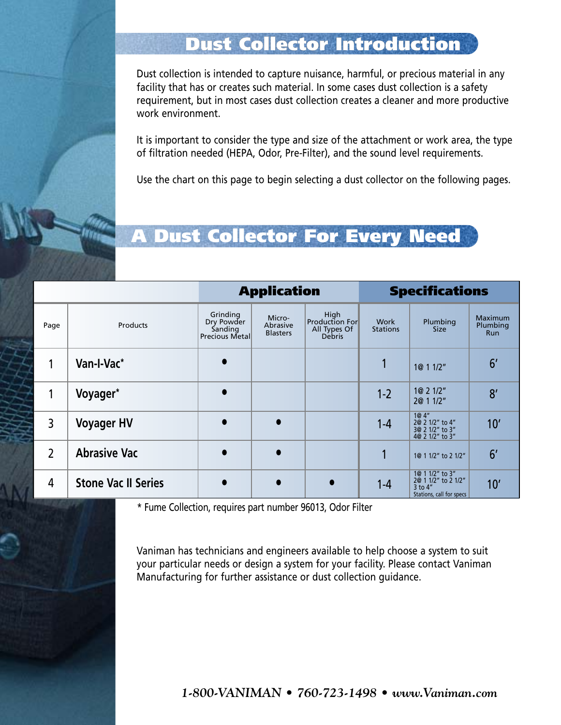# Dust Collector Introduction

Dust collection is intended to capture nuisance, harmful, or precious material in any facility that has or creates such material. In some cases dust collection is a safety requirement, but in most cases dust collection creates a cleaner and more productive work environment.

It is important to consider the type and size of the attachment or work area, the type of filtration needed (HEPA, Odor, Pre-Filter), and the sound level requirements.

Use the chart on this page to begin selecting a dust collector on the following pages.

# A Dust Collector For Every Need

|                |                            | <b>Application</b>                                          |                                       | <b>Specifications</b>                                   |                         |                                                                                   |                                          |
|----------------|----------------------------|-------------------------------------------------------------|---------------------------------------|---------------------------------------------------------|-------------------------|-----------------------------------------------------------------------------------|------------------------------------------|
| Page           | Products                   | Grinding<br>Dry Powder<br>Sanding<br><b>Precious Metall</b> | Micro-<br>Abrasive<br><b>Blasters</b> | High<br>Production For<br>All Types Of<br><b>Debris</b> | Work<br><b>Stations</b> | Plumbing<br><b>Size</b>                                                           | <b>Maximum</b><br>Plumbing<br><b>Run</b> |
|                | Van-I-Vac*                 |                                                             |                                       |                                                         |                         | 1@ 1 1/2"                                                                         | 6 <sup>′</sup>                           |
| 1              | Voyager*                   |                                                             |                                       |                                                         | $1 - 2$                 | 1@ 2 1/2"<br>2@ 1 1/2"                                                            | 8'                                       |
| 3              | <b>Voyager HV</b>          |                                                             | $\bullet$                             |                                                         | $1 - 4$                 | 1@4"<br>2@ 2 1/2" to 4"<br>3@ 2 1/2" to 3"<br>4@ 2 1/2" to 3"                     | 10'                                      |
| $\overline{2}$ | <b>Abrasive Vac</b>        |                                                             | $\bullet$                             |                                                         |                         | 1@ 1 1/2" to 2 1/2"                                                               | 6 <sup>′</sup>                           |
| 4              | <b>Stone Vac II Series</b> |                                                             | $\bullet$                             | $\bullet$                                               | $1 - 4$                 | 1@ 1 1/2" to 3"<br>2@ 1 1/2" to 2 1/2"<br>$3$ to $4"$<br>Stations, call for specs | 10'                                      |

\* Fume Collection, requires part number 96013, Odor Filter

Vaniman has technicians and engineers available to help choose a system to suit your particular needs or design a system for your facility. Please contact Vaniman Manufacturing for further assistance or dust collection guidance.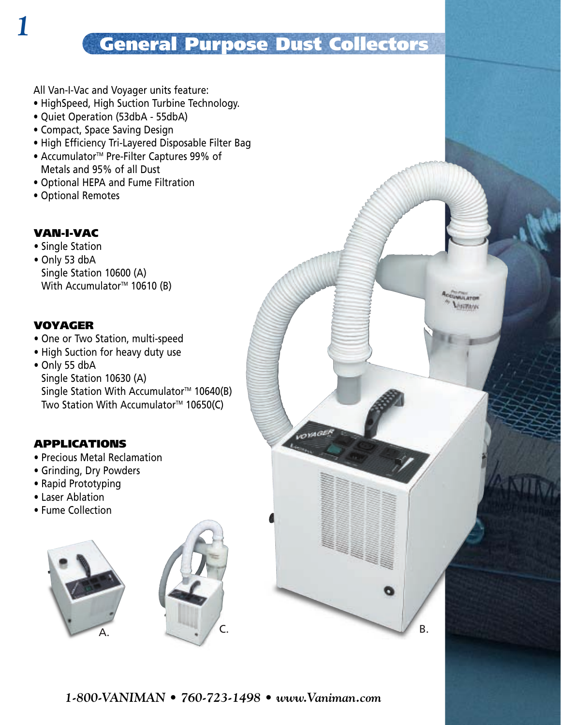# General Purpose Dust Collectors

 $20181G$ 

**CUMULATOR** *<u><i><b>MATRIMAK</u>*</u>

All Van-I-Vac and Voyager units feature:

- HighSpeed, High Suction Turbine Technology.
- Quiet Operation (53dbA 55dbA)
- Compact, Space Saving Design
- High Efficiency Tri-Layered Disposable Filter Bag
- Accumulator<sup>™</sup> Pre-Filter Captures 99% of • Metals and 95% of all Dust
- Optional HEPA and Fume Filtration
- Optional Remotes

### VAN-I-VAC

*1*

- Single Station
- Only 53 dbA Single Station 10600 (A) With Accumulator<sup>™</sup> 10610 (B)

#### VOYAGER

- One or Two Station, multi-speed
- High Suction for heavy duty use
- Only 55 dbA

Single Station 10630 (A) Single Station With Accumulator<sup>™</sup> 10640(B) Two Station With Accumulator<sup>TM</sup> 10650(C)

#### APPLICATIONS

- Precious Metal Reclamation
- Grinding, Dry Powders
- Rapid Prototyping
- Laser Ablation
- Fume Collection



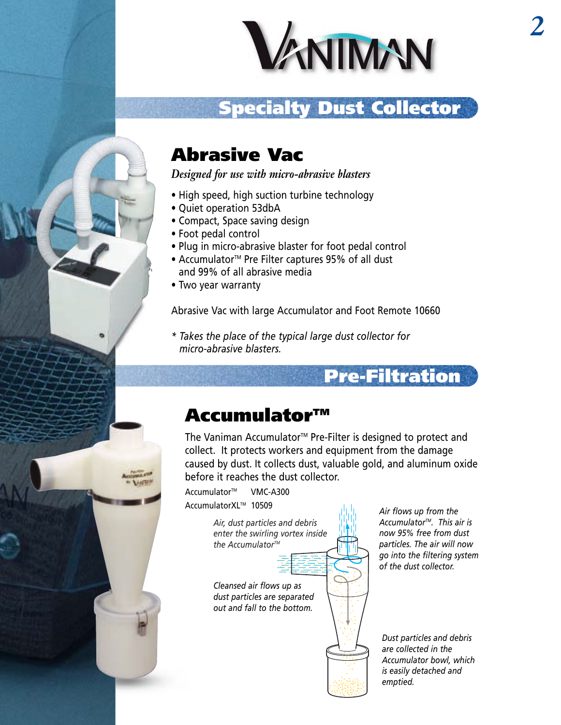

# Specialty Dust Collector

# Abrasive Vac

*Designed for use with micro-abrasive blasters*

- High speed, high suction turbine technology
- Quiet operation 53dbA
- Compact, Space saving design
- Foot pedal control
- Plug in micro-abrasive blaster for foot pedal control
- Accumulator<sup>™</sup> Pre Filter captures 95% of all dust • and 99% of all abrasive media
- Two year warranty

Abrasive Vac with large Accumulator and Foot Remote 10660

*\* Takes the place of the typical large dust collector for \* micro-abrasive blasters.*

# Accumulator<sup>™</sup>

The Vaniman Accumulator<sup>™</sup> Pre-Filter is designed to protect and collect. It protects workers and equipment from the damage caused by dust. It collects dust, valuable gold, and aluminum oxide before it reaches the dust collector.

Accumulator<sup>™</sup> VMC-A300 AccumulatorXLTM 10509

> *Air, dust particles and debris enter the swirling vortex inside the AccumulatorTM*

*Cleansed air flows up as dust particles are separated out and fall to the bottom.*

*Air flows up from the AccumulatorTM. This air is now 95% free from dust particles. The air will now go into the filtering system of the dust collector.*

Pre-Filtration

*Dust particles and debris are collected in the Accumulator bowl, which is easily detached and emptied.*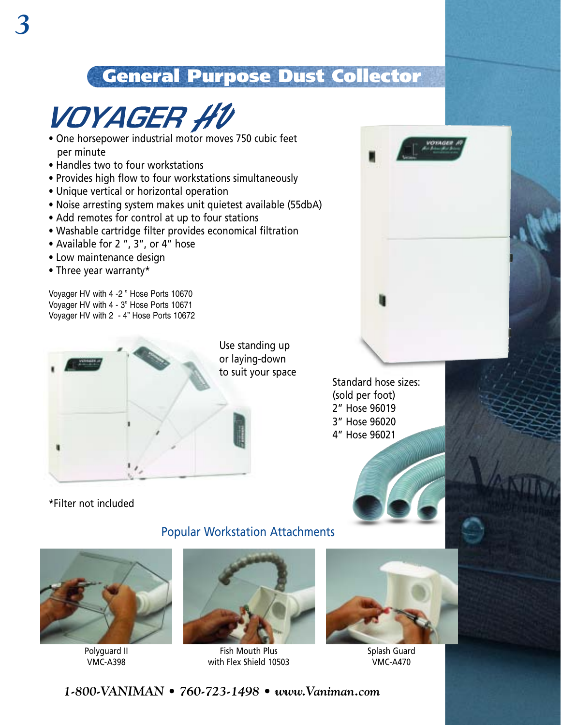# General Purpose Dust Collector



- One horsepower industrial motor moves 750 cubic feet per minute
- Handles two to four workstations
- Provides high flow to four workstations simultaneously
- Unique vertical or horizontal operation
- Noise arresting system makes unit quietest available (55dbA)
- Add remotes for control at up to four stations
- Washable cartridge filter provides economical filtration
- Available for 2 ", 3", or 4" hose
- Low maintenance design
- Three year warranty\*

Voyager HV with 4 -2 " Hose Ports 10670 Voyager HV with 4 - 3" Hose Ports 10671 Voyager HV with 2 - 4" Hose Ports 10672



Use standing up or laying-down to suit your space

Standard hose sizes: (sold per foot) 2" Hose 96019 3" Hose 96020 4" Hose 96021

\*Filter not included





Polyguard II VMC-A398



Popular Workstation Attachments

Fish Mouth Plus with Flex Shield 10503



Splash Guard VMC-A470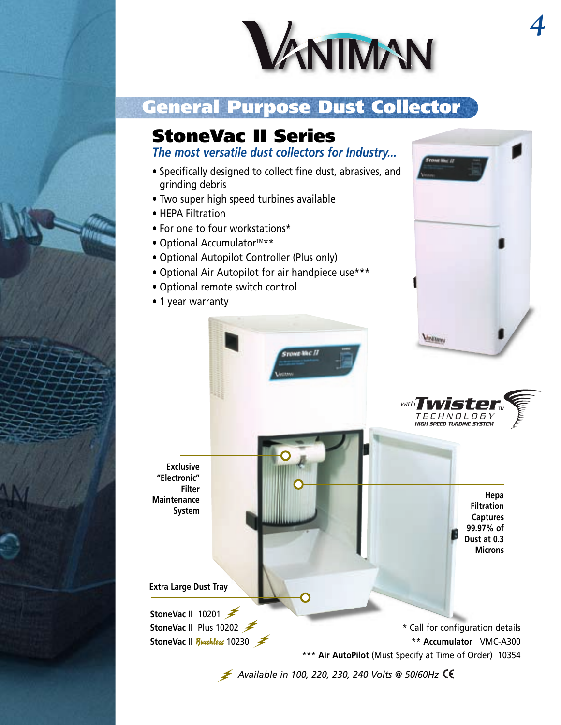

# General Purpose Dust Collector

**STONE-MAC II** 

# StoneVac II Series

*The most versatile dust collectors for Industry...*

- Specifically designed to collect fine dust, abrasives, and grinding debris
- Two super high speed turbines available
- HEPA Filtration
- For one to four workstations\*
- $\bullet$  Optional Accumulator<sup>TM\*\*</sup>
- Optional Autopilot Controller (Plus only)
- Optional Air Autopilot for air handpiece use\*\*\*
- Optional remote switch control
- 1 year warranty





**Hepa Filtration Captures 99.97% of Dust at 0.3 Microns**

**Exclusive "Electronic" Filter Maintenance System**

**Extra Large Dust Tray**

**StoneVac Ⅱ** 10201

**StoneVac II** Plus 10202 **1 StoneVac II** *Brushless* **10230** \*\*\* **Air AutoPilot** (Must Specify at Time of Order) 10354

*4*

*Available in 100, 220, 230, 240 Volts @ 50/60Hz*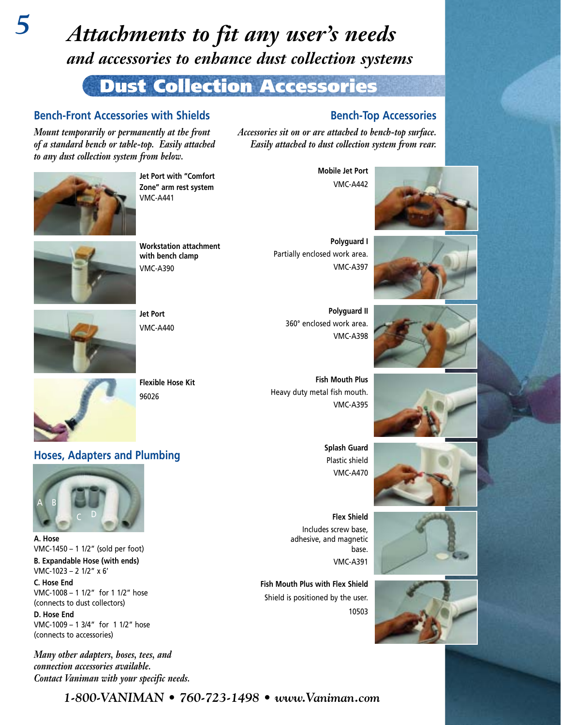# *Attachments to fit any user's needs and accessories to enhance dust collection systems*

# Dust Collection Accessories

#### **Bench-Front Accessories with Shields**

*Mount temporarily or permanently at the front of a standard bench or table-top. Easily attached to any dust collection system from below.*



*5*

**Jet Port with "Comfort Zone" arm rest system** VMC-A441

**Workstation attachment with bench clamp** VMC-A390



**Polyguard I**  Partially enclosed work area. VMC-A397

*Accessories sit on or are attached to bench-top surface. Easily attached to dust collection system from rear.*

> **Polyguard II** 360° enclosed work area. VMC-A398

**Fish Mouth Plus** Heavy duty metal fish mouth. VMC-A395

> **Splash Guard** Plastic shield VMC-A470

**Flex Shield** Includes screw base, adhesive, and magnetic base. VMC-A391

**Fish Mouth Plus with Flex Shield** Shield is positioned by the user. 10503

**Mobile Jet Port**  VMC-A442















**Jet Port**  VMC-A440

**Flexible Hose Kit** 96026

### **Hoses, Adapters and Plumbing**



**A. Hose** VMC-1450 – 1 1/2" (sold per foot) **B. Expandable Hose (with ends)**  VMC-1023 – 2 1/2" x 6' **C. Hose End**  VMC-1008 – 1 1/2" for 1 1/2" hose (connects to dust collectors)

**D. Hose End**  VMC-1009 – 1 3/4" for 1 1/2" hose (connects to accessories)

*Many other adapters, hoses, tees, and connection accessories available. Contact Vaniman with your specific needs.*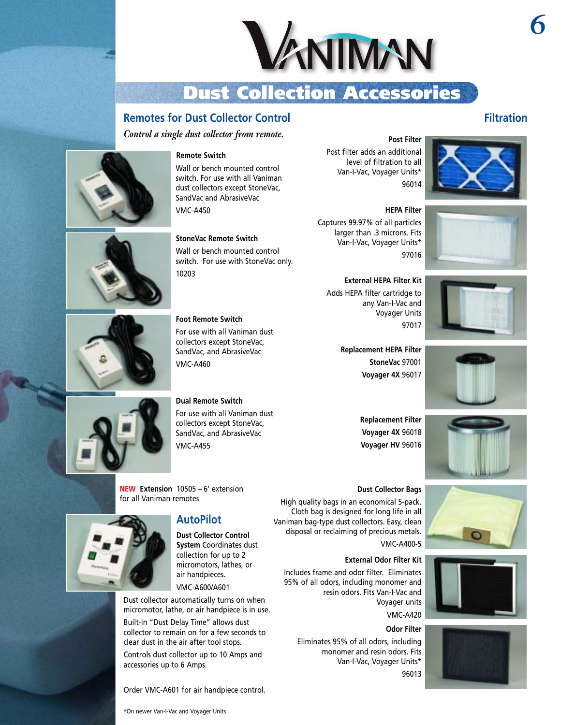

# Dust Collection Accessories

#### **Remotes for Dust Collector Control**

*Control a single dust collector from remote.*



# **Remote Switch**

Wall or bench mounted control switch. For use with all Vaniman dust collectors except StoneVac, SandVac and AbrasiveVac VMC-A450

**StoneVac Remote Switch** Wall or bench mounted control switch. For use with StoneVac only. 10203

**Foot Remote Switch**

For use with all Vaniman dust collectors except StoneVac, SandVac, and AbrasiveVac VMC-A460

#### **Dual Remote Switch** For use with all Vaniman dust

collectors except StoneVac, SandVac, and AbrasiveVac VMC-A455

**NEW Extension** 10505 – 6' extension for all Vaniman remotes

#### **AutoPilot**

**Dust Collector Control System** Coordinates dust collection for up to 2 micromotors, lathes, or air handpieces. VMC-A600/A601

Dust collector automatically turns on when micromotor, lathe, or air handpiece is in use.

Built-in "Dust Delay Time" allows dust collector to remain on for a few seconds to clear dust in the air after tool stops. Controls dust collector up to 10 Amps and accessories up to 6 Amps.

Order VMC-A601 for air handpiece control.

Post filter adds an additional level of filtration to all Van-I-Vac, Voyager Units\* 96014



#### **HEPA Filter**

Captures 99.97% of all particles larger than .3 microns. Fits Van-I-Vac, Voyager Units\* 97016





**Replacement HEPA Filter StoneVac** 97001 **Voyager 4X** 96017

> **Replacement Filter Voyager 4X** 96018 **Voyager HV** 96016





Eliminates 95% of all odors, including monomer and resin odors. Fits Van-I-Vac, Voyager Units\* 96013

High quality bags in an economical 5-pack. Cloth bag is designed for long life in all Vaniman bag-type dust collectors. Easy, clean disposal or reclaiming of precious metals.



# *6*

**Filtration**

**External HEPA Filter Kit** Adds HEPA filter cartridge to any Van-I-Vac and Voyager Units 97017



**Dust Collector Bags**

VMC-A400-5





\*On newer Van-I-Vac and Voyager Units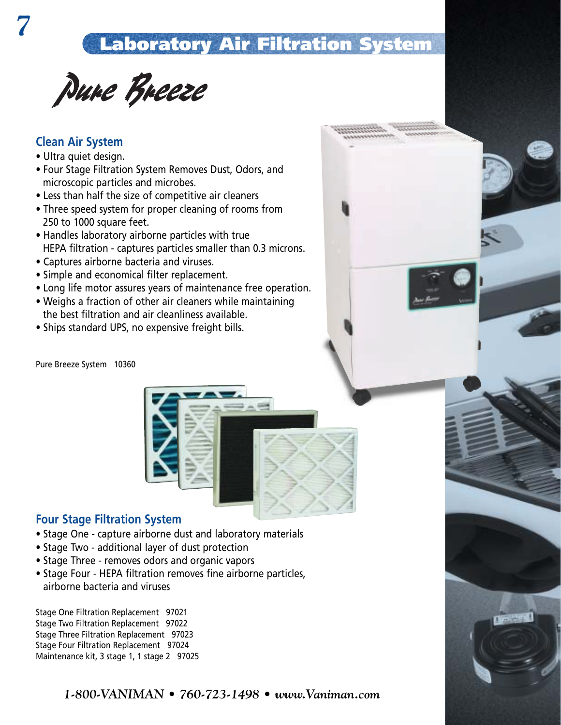# Laboratory Air Filtration System

Pure Breeze

#### **Clean Air System**

- Ultra quiet design**.**
- Four Stage Filtration System Removes Dust, Odors, and microscopic particles and microbes.
- Less than half the size of competitive air cleaners
- Three speed system for proper cleaning of rooms from 250 to 1000 square feet.
- Handles laboratory airborne particles with true HEPA filtration - captures particles smaller than 0.3 microns.
- Captures airborne bacteria and viruses.
- Simple and economical filter replacement.
- Long life motor assures years of maintenance free operation.
- Weighs a fraction of other air cleaners while maintaining the best filtration and air cleanliness available.
- Ships standard UPS, no expensive freight bills.

Pure Breeze System 10360



#### **Four Stage Filtration System**

- Stage One capture airborne dust and laboratory materials
- Stage Two additional layer of dust protection
- Stage Three removes odors and organic vapors
- Stage Four HEPA filtration removes fine airborne particles, airborne bacteria and viruses

Stage One Filtration Replacement 97021 Stage Two Filtration Replacement 97022 Stage Three Filtration Replacement 97023 Stage Four Filtration Replacement 97024 Maintenance kit, 3 stage 1, 1 stage 2 97025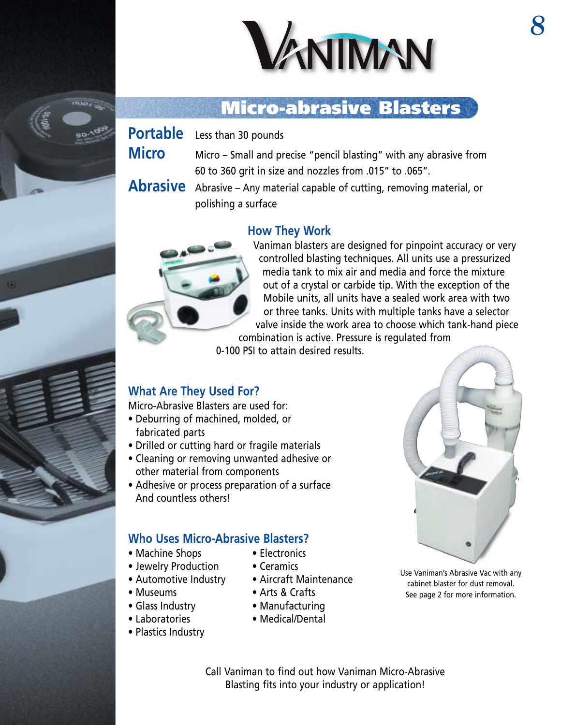

# Micro-abrasive Blasters

**Portable** Less than 30 pounds

**Micro** Micro – Small and precise "pencil blasting" with any abrasive from 60 to 360 grit in size and nozzles from .015" to .065".

**Abrasive** Abrasive – Any material capable of cutting, removing material, or polishing a surface

#### **How They Work**



Vaniman blasters are designed for pinpoint accuracy or very controlled blasting techniques. All units use a pressurized media tank to mix air and media and force the mixture out of a crystal or carbide tip. With the exception of the Mobile units, all units have a sealed work area with two or three tanks. Units with multiple tanks have a selector valve inside the work area to choose which tank-hand piece combination is active. Pressure is regulated from

0-100 PSI to attain desired results.

### **What Are They Used For?**

Micro-Abrasive Blasters are used for:

- Deburring of machined, molded, or fabricated parts
- Drilled or cutting hard or fragile materials
- Cleaning or removing unwanted adhesive or other material from components
- Adhesive or process preparation of a surface And countless others!

#### **Who Uses Micro-Abrasive Blasters?**

- Machine Shops Electronics
- Jewelry Production Ceramics
- Automotive Industry Aircraft Maintenance
- 
- 
- 
- Plastics Industry
- 
- -
- Museums Arts & Crafts
- Glass Industry Manufacturing
- Laboratories Medical/Dental



- Use Vaniman's Abrasive Vac with any cabinet blaster for dust removal. See page 2 for more information.
- Call Vaniman to find out how Vaniman Micro-Abrasive Blasting fits into your industry or application!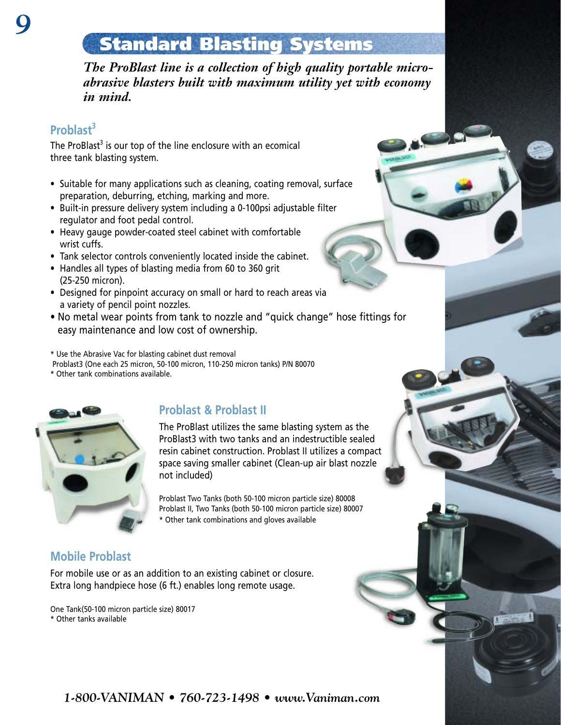# Standard Blasting Systems

*The ProBlast line is a collection of high quality portable microabrasive blasters built with maximum utility yet with economy in mind.*

### **Problast<sup>3</sup>**

The ProBlast<sup>3</sup> is our top of the line enclosure with an ecomical three tank blasting system.

- Suitable for many applications such as cleaning, coating removal, surface preparation, deburring, etching, marking and more.
- Built-in pressure delivery system including a 0-100psi adjustable filter regulator and foot pedal control.
- Heavy gauge powder-coated steel cabinet with comfortable wrist cuffs.
- Tank selector controls conveniently located inside the cabinet.
- Handles all types of blasting media from 60 to 360 grit (25-250 micron).
- Designed for pinpoint accuracy on small or hard to reach areas via a variety of pencil point nozzles.
- No metal wear points from tank to nozzle and "quick change" hose fittings for easy maintenance and low cost of ownership.

\* Use the Abrasive Vac for blasting cabinet dust removal

Problast3 (One each 25 micron, 50-100 micron, 110-250 micron tanks) P/N 80070

\* Other tank combinations available.



### **Problast & Problast II**

The ProBlast utilizes the same blasting system as the ProBlast3 with two tanks and an indestructible sealed resin cabinet construction. Problast II utilizes a compact space saving smaller cabinet (Clean-up air blast nozzle not included)

Problast Two Tanks (both 50-100 micron particle size) 80008 Problast II, Two Tanks (both 50-100 micron particle size) 80007 \* Other tank combinations and gloves available

### **Mobile Problast**

For mobile use or as an addition to an existing cabinet or closure. Extra long handpiece hose (6 ft.) enables long remote usage.

One Tank(50-100 micron particle size) 80017 \* Other tanks available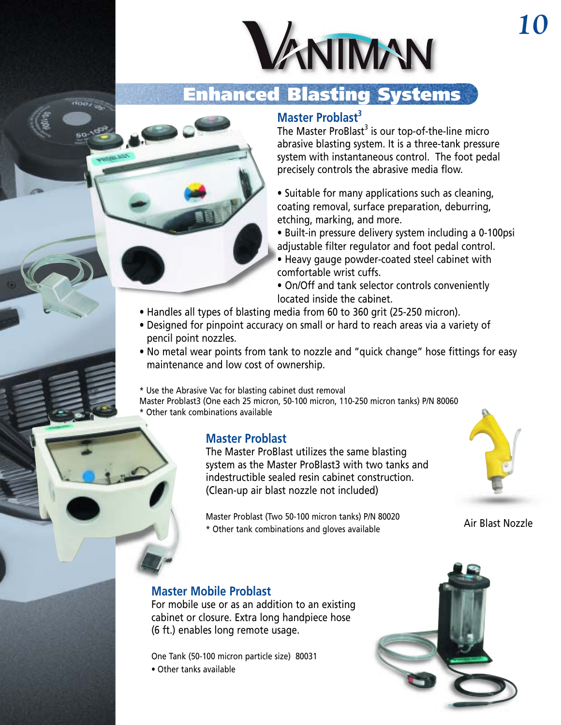

# anced Blasting Systems

### **Master Problast<sup>3</sup>**

The Master ProBlast<sup>3</sup> is our top-of-the-line micro abrasive blasting system. It is a three-tank pressure system with instantaneous control. The foot pedal precisely controls the abrasive media flow.

• Suitable for many applications such as cleaning, coating removal, surface preparation, deburring, etching, marking, and more.

• Built-in pressure delivery system including a 0-100psi adjustable filter regulator and foot pedal control. • Heavy gauge powder-coated steel cabinet with

comfortable wrist cuffs. • On/Off and tank selector controls conveniently located inside the cabinet.

- Handles all types of blasting media from 60 to 360 grit (25-250 micron).
- Designed for pinpoint accuracy on small or hard to reach areas via a variety of pencil point nozzles.
- No metal wear points from tank to nozzle and "quick change" hose fittings for easy maintenance and low cost of ownership.

\* Use the Abrasive Vac for blasting cabinet dust removal Master Problast3 (One each 25 micron, 50-100 micron, 110-250 micron tanks) P/N 80060 \* Other tank combinations available

#### **Master Problast**

The Master ProBlast utilizes the same blasting system as the Master ProBlast3 with two tanks and indestructible sealed resin cabinet construction. (Clean-up air blast nozzle not included)

Master Problast (Two 50-100 micron tanks) P/N 80020 \* Other tank combinations and gloves available

Air Blast Nozzle

#### **Master Mobile Problast**

For mobile use or as an addition to an existing cabinet or closure. Extra long handpiece hose (6 ft.) enables long remote usage.

One Tank (50-100 micron particle size) 80031

• Other tanks available

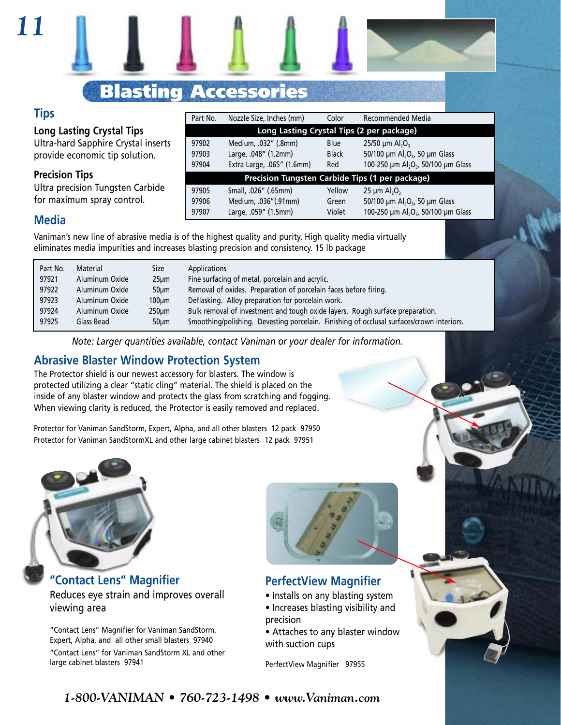# Blasting Accessories

#### **Tips**

*11*

**Long Lasting Crystal Tips**  Ultra-hard Sapphire Crystal inserts

provide economic tip solution.

#### **Precision Tips**

Ultra precision Tungsten Carbide for maximum spray control.

#### **Media**

Vaniman's new line of abrasive media is of the highest quality and purity. High quality media virtually eliminates media impurities and increases blasting precision and consistency. 15 lb package

| Part No. | Material       | Size            | Applications                                                                              |
|----------|----------------|-----------------|-------------------------------------------------------------------------------------------|
| 97921    | Aluminum Oxide | $25 \mu m$      | Fine surfacing of metal, porcelain and acrylic.                                           |
| 97922    | Aluminum Oxide | 50 <sub>µ</sub> | Removal of oxides. Preparation of porcelain faces before firing.                          |
| 97923    | Aluminum Oxide | $100 \mu m$     | Deflasking. Alloy preparation for porcelain work.                                         |
| 97924    | Aluminum Oxide | $250 \mu m$     | Bulk removal of investment and tough oxide layers. Rough surface preparation.             |
| 97925    | Glass Bead     | $50 \mu m$      | Smoothing/polishing. Devesting porcelain. Finishing of occlusal surfaces/crown interiors. |

Part No. Nozzle Size, Inches (mm) Color Recommended Media

97902 Medium, .032" (.8mm) Blue 25/50 µm Al<sub>2</sub>O<sub>3</sub>

97905 Small, .026" (.65mm) Yellow 25 µm Al<sub>2</sub>O<sub>3</sub><br>97906 Medium, .036" (.91mm) Green 50/100 um A Medium, .036"(.91mm) Green

97903 Large, .048" (1.2mm) Black

97904 Extra Large, .065" (1.6mm) Red

97907 Large, .059" (1.5mm) Violet

**Long Lasting Crystal Tips (2 per package)**

**Precision Tungsten Carbide Tips (1 per package)**

50/100  $\mu$ m Al<sub>2</sub>O<sub>3</sub>, 50  $\mu$ m Glass

50/100 µm  $Al_2O_3$ , 50 µm Glass

100-250 µm Al2O3, 50/100 µm Glass

100-250 µm Al<sub>2</sub>O<sub>3</sub>, 50/100 µm Glass

*Note: Larger quantities available, contact Vaniman or your dealer for information.*

#### **Abrasive Blaster Window Protection System**

The Protector shield is our newest accessory for blasters. The window is protected utilizing a clear "static cling" material. The shield is placed on the inside of any blaster window and protects the glass from scratching and fogging. When viewing clarity is reduced, the Protector is easily removed and replaced.

Protector for Vaniman SandStorm, Expert, Alpha, and all other blasters 12 pack 97950 Protector for Vaniman SandStormXL and other large cabinet blasters 12 pack 97951



**"Contact Lens" Magnifier** Reduces eye strain and improves overall viewing area

"Contact Lens" Magnifier for Vaniman SandStorm, Expert, Alpha, and all other small blasters 97940

"Contact Lens" for Vaniman SandStorm XL and other large cabinet blasters 97941



### **PerfectView Magnifier**

- Installs on any blasting system
- Increases blasting visibility and precision
- Attaches to any blaster window with suction cups

PerfectView Magnifier 97955

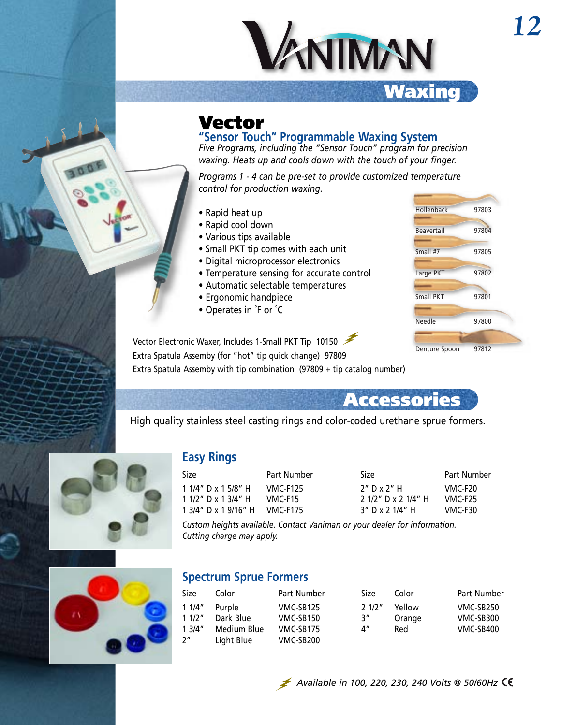

# Vector

**"Sensor Touch" Programmable Waxing System**

*Five Programs, including the "Sensor Touch" program for precision waxing. Heats up and cools down with the touch of your finger.*

*Programs 1 - 4 can be pre-set to provide customized temperature control for production waxing.*

- Rapid heat up
- Rapid cool down
- Various tips available
- Small PKT tip comes with each unit
- Digital microprocessor electronics
- Temperature sensing for accurate control
- Automatic selectable temperatures
- Ergonomic handpiece
- Operates in ˚F or ˚C

| Hollenback    | 97803 |
|---------------|-------|
| Beavertail    | 97804 |
|               |       |
| Small #7      | 97805 |
| Large PKT     | 97802 |
|               |       |
| Small PKT     | 97801 |
| Needle        | 97800 |
|               |       |
|               |       |
| Denture Spoon | 97812 |

Vector Electronic Waxer, Includes 1-Small PKT Tip 10150 Extra Spatula Assemby (for "hot" tip quick change) 97809

Extra Spatula Assemby with tip combination (97809 + tip catalog number)

# Accessories

High quality stainless steel casting rings and color-coded urethane sprue formers.



#### **Easy Rings**

| Size                 | Part Number     |
|----------------------|-----------------|
| 1 1/4" D x 1 5/8" H  | <b>VMC-F125</b> |
| 1 1/2" D x 1 3/4" H  | VMC-F15         |
| 1 3/4" D x 1 9/16" H | <b>VMC-F175</b> |

| Size.               | Part Number |
|---------------------|-------------|
| $2"$ D x $2"$ H     | VMC-F20     |
| 2 1/2" D x 2 1/4" H | VMC-F25     |
| 3" D x 2 1/4" H     | VMC-F30     |

*Custom heights available. Contact Vaniman or your dealer for information. Cutting charge may apply.*



#### **Spectrum Sprue Formers**

| Size           | Color       | Part Number | Size  | Color  | <b>Part Number</b> |
|----------------|-------------|-------------|-------|--------|--------------------|
| 11/4"          | Purple      | VMC-SB125   | 21/2" | Yellow | VMC-SB250          |
| 11/2"          | Dark Blue   | VMC-SB150   | 3″    | Orange | VMC-SB300          |
| 13/4"          | Medium Blue | VMC-SB175   | 4″    | Red    | VMC-SB400          |
| 2 <sup>n</sup> | Light Blue  | VMC-SB200   |       |        |                    |